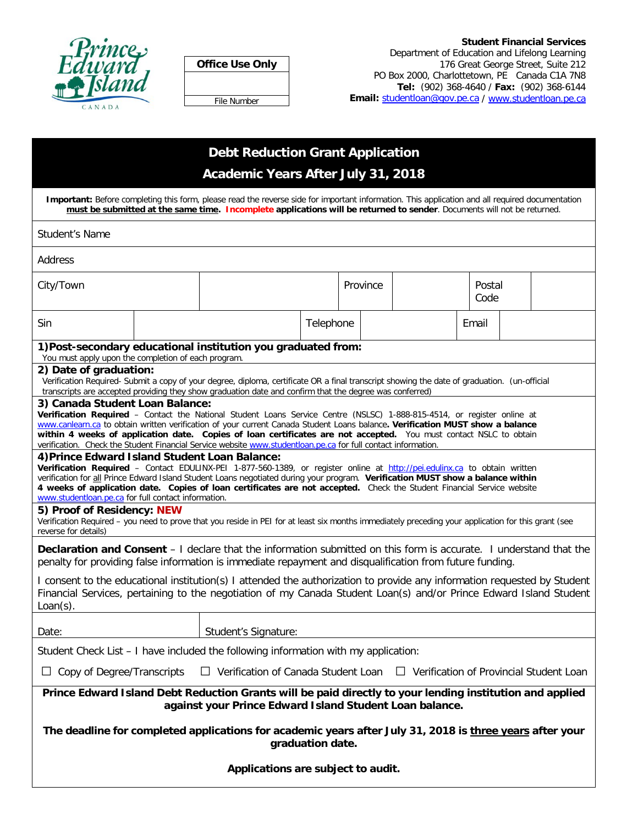

|--|

File Number

#### **Student Financial Services** Department of Education and Lifelong Learning 176 Great George Street, Suite 212 PO Box 2000, Charlottetown, PE Canada C1A 7N8 **Tel:** (902) 368-4640 / **Fax:** (902) 368-6144 **Email:** [studentloan@gov.pe.ca](mailto:studentloan@gov.pe.ca) / [www.studentloan.pe.ca](http://www.studentloan.pe.ca/)

# **Debt Reduction Grant Application Academic Years After July 31, 2018**

**Important:** Before completing this form, please read the reverse side for important information. This application and all required documentation **must be submitted at the same time. Incomplete applications will be returned to sender**. Documents will not be returned.

| <b>Student's Name</b>                                                                                                                                                                                                                                                                                                                                                                                                                                                                                                             |                                                                                                                                                                                                                                                                                                                                          |                                                               |           |          |  |  |                |  |  |
|-----------------------------------------------------------------------------------------------------------------------------------------------------------------------------------------------------------------------------------------------------------------------------------------------------------------------------------------------------------------------------------------------------------------------------------------------------------------------------------------------------------------------------------|------------------------------------------------------------------------------------------------------------------------------------------------------------------------------------------------------------------------------------------------------------------------------------------------------------------------------------------|---------------------------------------------------------------|-----------|----------|--|--|----------------|--|--|
| Address                                                                                                                                                                                                                                                                                                                                                                                                                                                                                                                           |                                                                                                                                                                                                                                                                                                                                          |                                                               |           |          |  |  |                |  |  |
| City/Town                                                                                                                                                                                                                                                                                                                                                                                                                                                                                                                         |                                                                                                                                                                                                                                                                                                                                          |                                                               |           | Province |  |  | Postal<br>Code |  |  |
| Sin                                                                                                                                                                                                                                                                                                                                                                                                                                                                                                                               |                                                                                                                                                                                                                                                                                                                                          |                                                               | Telephone |          |  |  | Email          |  |  |
|                                                                                                                                                                                                                                                                                                                                                                                                                                                                                                                                   |                                                                                                                                                                                                                                                                                                                                          | 1) Post-secondary educational institution you graduated from: |           |          |  |  |                |  |  |
|                                                                                                                                                                                                                                                                                                                                                                                                                                                                                                                                   | You must apply upon the completion of each program.<br>2) Date of graduation:<br>Verification Required- Submit a copy of your degree, diploma, certificate OR a final transcript showing the date of graduation. (un-official<br>transcripts are accepted providing they show graduation date and confirm that the degree was conferred) |                                                               |           |          |  |  |                |  |  |
| 3) Canada Student Loan Balance:<br>Verification Required - Contact the National Student Loans Service Centre (NSLSC) 1-888-815-4514, or register online at<br>www.canlearn.ca to obtain written verification of your current Canada Student Loans balance. Verification MUST show a balance<br>within 4 weeks of application date. Copies of loan certificates are not accepted. You must contact NSLC to obtain<br>verification. Check the Student Financial Service website www.studentloan.pe.ca for full contact information. |                                                                                                                                                                                                                                                                                                                                          |                                                               |           |          |  |  |                |  |  |
| 4) Prince Edward Island Student Loan Balance:<br>Verification Required - Contact EDULINX-PEI 1-877-560-1389, or register online at http://pei.edulinx.ca to obtain written<br>verification for all Prince Edward Island Student Loans negotiated during your program. Verification MUST show a balance within<br>4 weeks of application date. Copies of loan certificates are not accepted. Check the Student Financial Service website<br>www.studentloan.pe.ca for full contact information.                                    |                                                                                                                                                                                                                                                                                                                                          |                                                               |           |          |  |  |                |  |  |
| 5) Proof of Residency: NEW<br>Verification Required - you need to prove that you reside in PEI for at least six months immediately preceding your application for this grant (see<br>reverse for details)                                                                                                                                                                                                                                                                                                                         |                                                                                                                                                                                                                                                                                                                                          |                                                               |           |          |  |  |                |  |  |
| Declaration and Consent - I declare that the information submitted on this form is accurate. I understand that the<br>penalty for providing false information is immediate repayment and disqualification from future funding.                                                                                                                                                                                                                                                                                                    |                                                                                                                                                                                                                                                                                                                                          |                                                               |           |          |  |  |                |  |  |
| I consent to the educational institution(s) I attended the authorization to provide any information requested by Student<br>Financial Services, pertaining to the negotiation of my Canada Student Loan(s) and/or Prince Edward Island Student<br>$Loan(s)$ .                                                                                                                                                                                                                                                                     |                                                                                                                                                                                                                                                                                                                                          |                                                               |           |          |  |  |                |  |  |
| Date:                                                                                                                                                                                                                                                                                                                                                                                                                                                                                                                             |                                                                                                                                                                                                                                                                                                                                          | Student's Signature:                                          |           |          |  |  |                |  |  |
| Student Check List – I have included the following information with my application:                                                                                                                                                                                                                                                                                                                                                                                                                                               |                                                                                                                                                                                                                                                                                                                                          |                                                               |           |          |  |  |                |  |  |
| $\Box$ Verification of Canada Student Loan<br>$\Box$ Verification of Provincial Student Loan<br>Copy of Degree/Transcripts                                                                                                                                                                                                                                                                                                                                                                                                        |                                                                                                                                                                                                                                                                                                                                          |                                                               |           |          |  |  |                |  |  |
| Prince Edward Island Debt Reduction Grants will be paid directly to your lending institution and applied<br>against your Prince Edward Island Student Loan balance.                                                                                                                                                                                                                                                                                                                                                               |                                                                                                                                                                                                                                                                                                                                          |                                                               |           |          |  |  |                |  |  |
| The deadline for completed applications for academic years after July 31, 2018 is three years after your<br>graduation date.                                                                                                                                                                                                                                                                                                                                                                                                      |                                                                                                                                                                                                                                                                                                                                          |                                                               |           |          |  |  |                |  |  |
| Applications are subject to audit.                                                                                                                                                                                                                                                                                                                                                                                                                                                                                                |                                                                                                                                                                                                                                                                                                                                          |                                                               |           |          |  |  |                |  |  |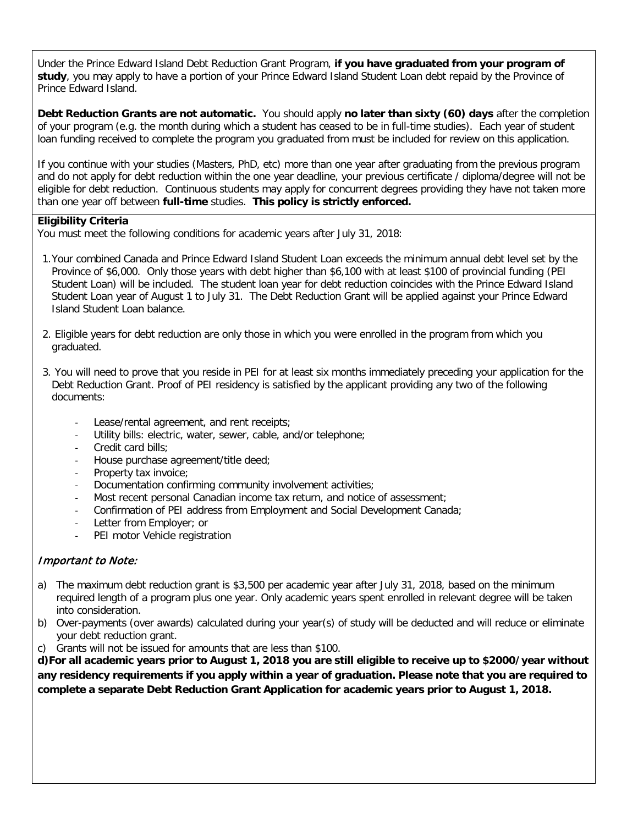Under the Prince Edward Island Debt Reduction Grant Program, **if you have graduated from your program of study**, you may apply to have a portion of your Prince Edward Island Student Loan debt repaid by the Province of Prince Edward Island.

**Debt Reduction Grants are not automatic.** You should apply **no later than sixty (60) days** after the completion of your program (e.g. the month during which a student has ceased to be in full-time studies). Each year of student loan funding received to complete the program you graduated from must be included for review on this application.

If you continue with your studies (Masters, PhD, etc) more than one year after graduating from the previous program and do not apply for debt reduction within the one year deadline, your previous certificate / diploma/degree will not be eligible for debt reduction. Continuous students may apply for concurrent degrees providing they have not taken more than one year off between **full-time** studies. **This policy is strictly enforced.**

### **Eligibility Criteria**

You must meet the following conditions for academic years after July 31, 2018:

- 1.Your combined Canada and Prince Edward Island Student Loan exceeds the minimum annual debt level set by the Province of \$6,000. Only those years with debt higher than \$6,100 with at least \$100 of provincial funding (PEI Student Loan) will be included. The student loan year for debt reduction coincides with the Prince Edward Island Student Loan year of August 1 to July 31. The Debt Reduction Grant will be applied against your Prince Edward Island Student Loan balance.
- 2. Eligible years for debt reduction are only those in which you were enrolled in the program from which you graduated.
- 3. You will need to prove that you reside in PEI for at least six months immediately preceding your application for the Debt Reduction Grant. Proof of PEI residency is satisfied by the applicant providing any two of the following documents:
	- Lease/rental agreement, and rent receipts;
	- Utility bills: electric, water, sewer, cable, and/or telephone;
	- Credit card bills;
	- House purchase agreement/title deed;
	- Property tax invoice;
	- Documentation confirming community involvement activities;
	- Most recent personal Canadian income tax return, and notice of assessment;
	- Confirmation of PEI address from Employment and Social Development Canada;
	- Letter from Employer; or
	- PEI motor Vehicle registration

## Important to Note:

- a) The maximum debt reduction grant is \$3,500 per academic year after July 31, 2018, based on the minimum required length of a program plus one year. Only academic years spent enrolled in relevant degree will be taken into consideration.
- b) Over-payments (over awards) calculated during your year(s) of study will be deducted and will reduce or eliminate your debt reduction grant.
- c) Grants will not be issued for amounts that are less than \$100.

**d)For all academic years prior to August 1, 2018 you are still eligible to receive up to \$2000/year without any residency requirements if you apply within a year of graduation. Please note that you are required to complete a separate Debt Reduction Grant Application for academic years prior to August 1, 2018.**